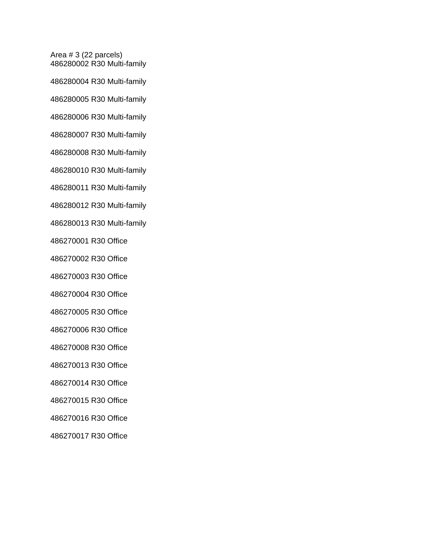Area # 3 (22 parcels) 486280002 R30 Multi-family 486280004 R30 Multi-family 486280005 R30 Multi-family 486280006 R30 Multi-family 486280007 R30 Multi-family 486280008 R30 Multi-family 486280010 R30 Multi-family 486280011 R30 Multi-family 486280012 R30 Multi-family 486280013 R30 Multi-family 486270001 R30 Office 486270002 R30 Office 486270003 R30 Office 486270004 R30 Office 486270005 R30 Office 486270006 R30 Office 486270008 R30 Office 486270013 R30 Office 486270014 R30 Office 486270015 R30 Office 486270016 R30 Office

486270017 R30 Office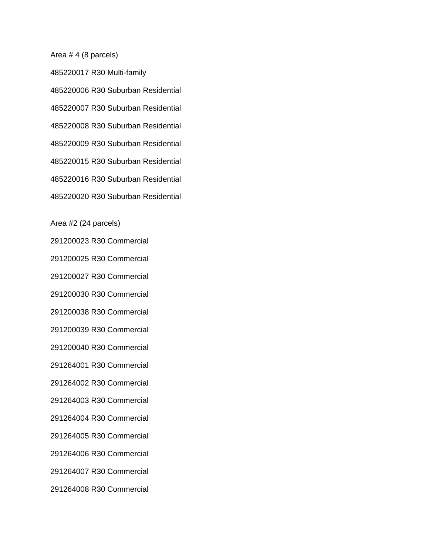Area # 4 (8 parcels)

485220017 R30 Multi-family 485220006 R30 Suburban Residential 485220007 R30 Suburban Residential 485220008 R30 Suburban Residential 485220009 R30 Suburban Residential 485220015 R30 Suburban Residential 485220016 R30 Suburban Residential 485220020 R30 Suburban Residential

Area #2 (24 parcels)

291200023 R30 Commercial 291200025 R30 Commercial

291200027 R30 Commercial

291200030 R30 Commercial

291200038 R30 Commercial

291200039 R30 Commercial

291200040 R30 Commercial

291264001 R30 Commercial

291264002 R30 Commercial

291264003 R30 Commercial

291264004 R30 Commercial

291264005 R30 Commercial

291264006 R30 Commercial

291264007 R30 Commercial

291264008 R30 Commercial